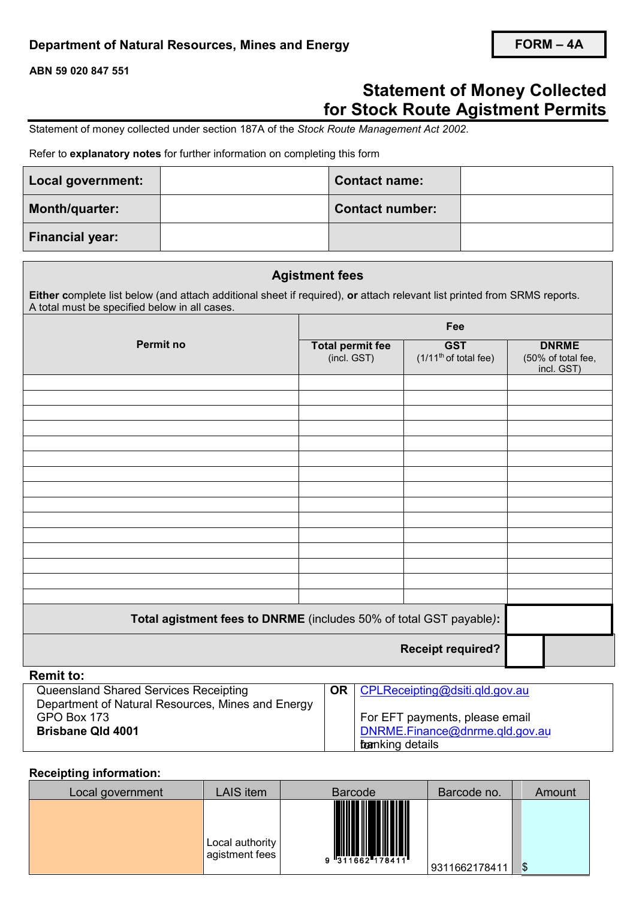## **Department of Natural Resources, Mines and Energy**

**ABN 59 020 847 551**

# **Statement of Money Collected for Stock Route Agistment Permits**

Statement of money collected under section 187A of the *Stock Route Management Act 2002*.

#### Refer to **explanatory notes** for further information on completing this form

| Local government:      | <b>Contact name:</b>   |  |
|------------------------|------------------------|--|
| Month/quarter:         | <b>Contact number:</b> |  |
| <b>Financial year:</b> |                        |  |

|                                                                                                                                                                           | <b>Agistment fees</b>                                              |                                                 |                                                  |  |
|---------------------------------------------------------------------------------------------------------------------------------------------------------------------------|--------------------------------------------------------------------|-------------------------------------------------|--------------------------------------------------|--|
| Either complete list below (and attach additional sheet if required), or attach relevant list printed from SRMS reports.<br>A total must be specified below in all cases. |                                                                    |                                                 |                                                  |  |
|                                                                                                                                                                           | Fee                                                                |                                                 |                                                  |  |
| <b>Permit no</b>                                                                                                                                                          | <b>Total permit fee</b><br>(incl. GST)                             | <b>GST</b><br>(1/11 <sup>th</sup> of total fee) | <b>DNRME</b><br>(50% of total fee,<br>incl. GST) |  |
|                                                                                                                                                                           |                                                                    |                                                 |                                                  |  |
|                                                                                                                                                                           |                                                                    |                                                 |                                                  |  |
|                                                                                                                                                                           |                                                                    |                                                 |                                                  |  |
|                                                                                                                                                                           |                                                                    |                                                 |                                                  |  |
|                                                                                                                                                                           |                                                                    |                                                 |                                                  |  |
|                                                                                                                                                                           |                                                                    |                                                 |                                                  |  |
|                                                                                                                                                                           |                                                                    |                                                 |                                                  |  |
|                                                                                                                                                                           | Total agistment fees to DNRME (includes 50% of total GST payable): |                                                 |                                                  |  |
|                                                                                                                                                                           |                                                                    | <b>Receipt required?</b>                        |                                                  |  |
| <b>Remit to:</b>                                                                                                                                                          |                                                                    |                                                 |                                                  |  |

| Queensland Shared Services Receipting             | <b>OR</b> $\mathsf{CPLRece}$ containg @ dsiti.gld.gov.au |
|---------------------------------------------------|----------------------------------------------------------|
| Department of Natural Resources, Mines and Energy |                                                          |
| GPO Box 173                                       | For EFT payments, please email                           |
| <b>Brisbane Qld 4001</b>                          | $\vert$ DNRME. Finance @dnrme. gld.gov. au               |
|                                                   | foanking details                                         |

### **Receipting information:**

| Local government | LAIS item                         | <b>Barcode</b>                                                                                                                                                                                                                                                                                                                                                                                                                                                                                                                                                    | Barcode no.   | Amount |
|------------------|-----------------------------------|-------------------------------------------------------------------------------------------------------------------------------------------------------------------------------------------------------------------------------------------------------------------------------------------------------------------------------------------------------------------------------------------------------------------------------------------------------------------------------------------------------------------------------------------------------------------|---------------|--------|
|                  | Local authority<br>agistment fees | $\begin{array}{c} \begin{array}{c} \end{array} \\ \begin{array}{c} \end{array} \\ \begin{array}{c} \end{array} \\ \begin{array}{c} \end{array} \\ \begin{array}{c} \end{array} \\ \begin{array}{c} \end{array} \\ \begin{array}{c} \end{array} \\ \begin{array}{c} \end{array} \\ \begin{array}{c} \end{array} \\ \begin{array}{c} \end{array} \\ \begin{array}{c} \end{array} \\ \begin{array}{c} \end{array} \\ \begin{array}{c} \end{array} \\ \begin{array}{c} \end{array} \\ \begin{array}{c} \end{array} \\ \begin{array}{c} \end{array} \\ \begin{array}{$ | 9311662178411 | \$     |